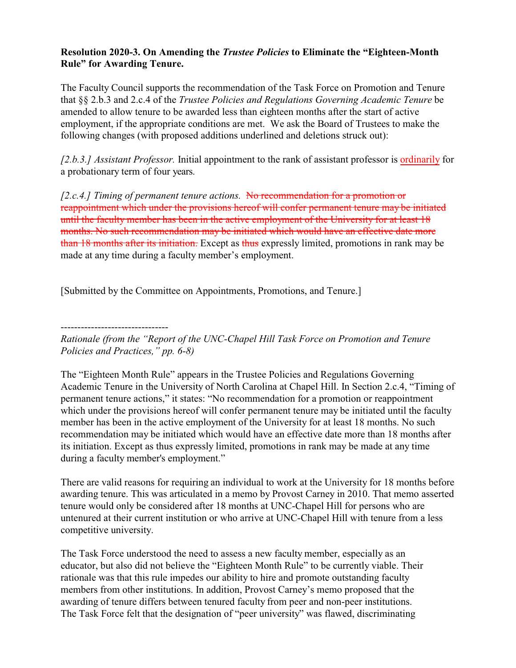## **Resolution 2020-3. On Amending the** *Trustee Policies* **to Eliminate the "Eighteen-Month Rule" for Awarding Tenure.**

The Faculty Council supports the recommendation of the Task Force on Promotion and Tenure that §§ 2.b.3 and 2.c.4 of the *Trustee Policies and Regulations Governing Academic Tenure* be amended to allow tenure to be awarded less than eighteen months after the start of active employment, if the appropriate conditions are met. We ask the Board of Trustees to make the following changes (with proposed additions underlined and deletions struck out):

*[2.b.3.] Assistant Professor.* Initial appointment to the rank of assistant professor is ordinarily for a probationary term of four years.

*[2.c.4.] Timing of permanent tenure actions.* No recommendation for a promotion or reappointment which under the provisions hereof will confer permanent tenure may be initiated until the faculty member has been in the active employment of the University for at least 18 months. No such recommendation may be initiated which would have an effective date more than 18 months after its initiation. Except as thus expressly limited, promotions in rank may be made at any time during a faculty member's employment.

[Submitted by the Committee on Appointments, Promotions, and Tenure.]

--------------------------------

*Rationale (from the "Report of the UNC-Chapel Hill Task Force on Promotion and Tenure Policies and Practices," pp. 6-8)*

The "Eighteen Month Rule" appears in the Trustee Policies and Regulations Governing Academic Tenure in the University of North Carolina at Chapel Hill. In Section 2.c.4, "Timing of permanent tenure actions," it states: "No recommendation for a promotion or reappointment which under the provisions hereof will confer permanent tenure may be initiated until the faculty member has been in the active employment of the University for at least 18 months. No such recommendation may be initiated which would have an effective date more than 18 months after its initiation. Except as thus expressly limited, promotions in rank may be made at any time during a faculty member's employment."

There are valid reasons for requiring an individual to work at the University for 18 months before awarding tenure. This was articulated in a memo by Provost Carney in 2010. That memo asserted tenure would only be considered after 18 months at UNC-Chapel Hill for persons who are untenured at their current institution or who arrive at UNC-Chapel Hill with tenure from a less competitive university.

The Task Force understood the need to assess a new faculty member, especially as an educator, but also did not believe the "Eighteen Month Rule" to be currently viable. Their rationale was that this rule impedes our ability to hire and promote outstanding faculty members from other institutions. In addition, Provost Carney's memo proposed that the awarding of tenure differs between tenured faculty from peer and non-peer institutions. The Task Force felt that the designation of "peer university" was flawed, discriminating